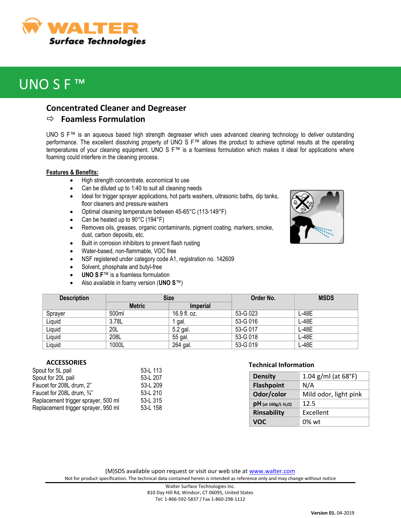

# UNO S F ™

### **Concentrated Cleaner and Degreaser**

### **Foamless Formulation**

UNO S F™ is an aqueous based high strength degreaser which uses advanced cleaning technology to deliver outstanding performance. The excellent dissolving property of UNO S F™ allows the product to achieve optimal results at the operating temperatures of your cleaning equipment. UNO S F™ is a foamless formulation which makes it ideal for applications where foaming could interfere in the cleaning process.

#### **Features & Benefits:**

- High strength concentrate, economical to use
- Can be diluted up to 1:40 to suit all cleaning needs
- Ideal for trigger sprayer applications, hot parts washers, ultrasonic baths, dip tanks, floor cleaners and pressure washers
- Optimal cleaning temperature between 45-65°C (113-149°F)
- Can be heated up to 90°C (194°F)
- Removes oils, greases, organic contaminants, pigment coating, markers, smoke, dust, carbon deposits, etc.
- Built in corrosion inhibitors to prevent flash rusting
- Water-based, non-flammable, VOC free
- NSF registered under category code A1, registration no. 142609
- Solvent, phosphate and butyl-free
- **UNO S F**™ is a foamless formulation
- Also available in foamy version (**UNO S**™)

| <b>Description</b> | <b>Size</b>   |                 | Order No. | <b>MSDS</b> |
|--------------------|---------------|-----------------|-----------|-------------|
|                    | <b>Metric</b> | <b>Imperial</b> |           |             |
| Sprayer            | 500ml         | 16.9 fl. oz.    | 53-G 023  | $L-48E$     |
| Liquid             | 3.78L         | gal.            | 53-G 016  | $L-48E$     |
| Liquid             | 20L           | 5.2 gal.        | 53-G 017  | L-48E       |
| Liquid             | 208L          | 55 gal.         | 53-G 018  | L-48E       |
| Liquid             | 1000L         | 264 gal.        | 53-G 019  | L-48E       |

#### **ACCESSORIES**

| Spout for 5L pail                   | 53-L 113 |
|-------------------------------------|----------|
| Spout for 20L pail                  | 53-L 207 |
| Faucet for 208L drum, 2"            | 53-L 209 |
| Faucet for 208L drum, 3/4"          | 53-L 210 |
| Replacement trigger sprayer, 500 ml | 53-L 315 |
| Replacement trigger sprayer, 950 ml | 53-L 158 |

### **Technical Information**

| <b>Density</b>                    | 1.04 $g/ml$ (at 68°F) |  |
|-----------------------------------|-----------------------|--|
| <b>Flashpoint</b>                 | N/A                   |  |
| Odor/color                        | Mild odor, light pink |  |
| $pH$ (at 100g/L H <sub>2</sub> O) | 12.5                  |  |
| <b>Rinsability</b>                | Excellent             |  |
| <b>VOC</b>                        | $0\%$ wt              |  |

(M)SDS available upon request or visit our web site at [www.walter.com](http://www.walter.com/) Not for product specification. The technical data contained herein is intended as reference only and may change without notice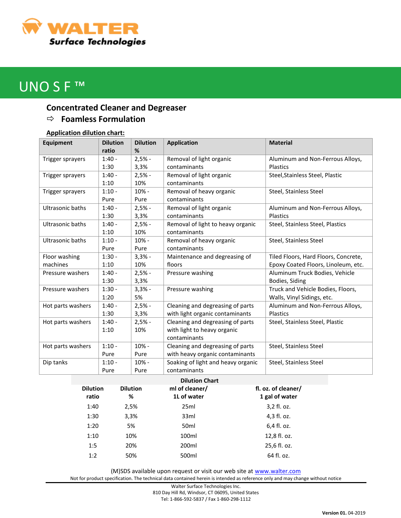

# UNO S F ™

## **Concentrated Cleaner and Degreaser**

## **Foamless Formulation**

### **Application dilution chart:**

| <b>Equipment</b>        | <b>Dilution</b> | <b>Dilution</b> | <b>Application</b>                 | <b>Material</b>                      |
|-------------------------|-----------------|-----------------|------------------------------------|--------------------------------------|
|                         | ratio           | %               |                                    |                                      |
| Trigger sprayers        | $1:40 -$        | $2,5% -$        | Removal of light organic           | Aluminum and Non-Ferrous Alloys,     |
|                         | 1:30            | 3,3%            | contaminants                       | <b>Plastics</b>                      |
| Trigger sprayers        | $1:40 -$        | $2,5% -$        | Removal of light organic           | Steel, Stainless Steel, Plastic      |
|                         | 1:10            | 10%             | contaminants                       |                                      |
| Trigger sprayers        | $1:10 -$        | $10% -$         | Removal of heavy organic           | Steel, Stainless Steel               |
|                         | Pure            | Pure            | contaminants                       |                                      |
| <b>Ultrasonic baths</b> | $1:40 -$        | $2,5% -$        | Removal of light organic           | Aluminum and Non-Ferrous Alloys,     |
|                         | 1:30            | 3,3%            | contaminants                       | <b>Plastics</b>                      |
| <b>Ultrasonic baths</b> | $1:40 -$        | $2,5% -$        | Removal of light to heavy organic  | Steel, Stainless Steel, Plastics     |
|                         | 1:10            | 10%             | contaminants                       |                                      |
| <b>Ultrasonic baths</b> | $1:10 -$        | 10% -           | Removal of heavy organic           | Steel, Stainless Steel               |
|                         | Pure            | Pure            | contaminants                       |                                      |
| Floor washing           | $1:30 -$        | $3,3% -$        | Maintenance and degreasing of      | Tiled Floors, Hard Floors, Concrete, |
| machines                | 1:10            | 10%             | floors                             | Epoxy Coated Floors, Linoleum, etc.  |
| Pressure washers        | $1:40 -$        | $2,5% -$        | Pressure washing                   | Aluminum Truck Bodies, Vehicle       |
|                         | 1:30            | 3,3%            |                                    | Bodies, Siding                       |
| Pressure washers        | $1:30 -$        | $3,3% -$        | Pressure washing                   | Truck and Vehicle Bodies, Floors,    |
|                         | 1:20            | 5%              |                                    | Walls, Vinyl Sidings, etc.           |
| Hot parts washers       | $1:40 -$        | $2,5% -$        | Cleaning and degreasing of parts   | Aluminum and Non-Ferrous Alloys,     |
|                         | 1:30            | 3,3%            | with light organic contaminants    | <b>Plastics</b>                      |
| Hot parts washers       | $1:40 -$        | $2,5% -$        | Cleaning and degreasing of parts   | Steel, Stainless Steel, Plastic      |
|                         | 1:10            | 10%             | with light to heavy organic        |                                      |
|                         |                 |                 | contaminants                       |                                      |
| Hot parts washers       | $1:10 -$        | 10% -           | Cleaning and degreasing of parts   | Steel, Stainless Steel               |
|                         | Pure            | Pure            | with heavy organic contaminants    |                                      |
| Dip tanks               | $1:10 -$        | 10% -           | Soaking of light and heavy organic | Steel, Stainless Steel               |
|                         | Pure            | Pure            | contaminants                       |                                      |

| <b>Dilution</b><br>ratio | <b>Dilution</b><br>% | ml of cleaner/<br>1L of water | fl. oz. of cleaner/<br>1 gal of water |
|--------------------------|----------------------|-------------------------------|---------------------------------------|
| 1:40                     | 2,5%                 | 25ml                          | 3,2 fl. oz.                           |
| 1:30                     | 3,3%                 | 33ml                          | 4,3 fl. oz.                           |
| 1:20                     | 5%                   | 50 <sub>ml</sub>              | 6,4 fl. oz.                           |
| 1:10                     | 10%                  | 100ml                         | 12,8 fl. oz.                          |
| 1:5                      | 20%                  | 200 <sub>ml</sub>             | 25,6 fl. oz.                          |
| 1:2                      | 50%                  | 500ml                         | 64 fl. oz.                            |

(M)SDS available upon request or visit our web site at [www.walter.com](http://www.walter.com/)

Not for product specification. The technical data contained herein is intended as reference only and may change without notice

Walter Surface Technologies Inc. 810 Day Hill Rd, Windsor, CT 06095, United States Tel: 1-866-592-5837 / Fax 1-860-298-1112